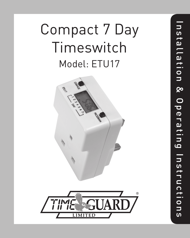# Compact 7 Day Timeswitch Model: ETU17

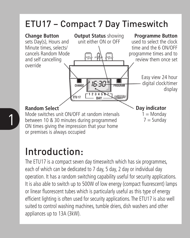#### ETU17 – Compact 7 Day Timeswitch



#### Introduction:

The ETU17 is a compact seven day timeswitch which has six programmes, each of which can be dedicated to 7 day, 5 day, 2 day or individual day operation. It has a random switching capability useful for security applications. It is also able to switch up to 500W of low energy (compact fluorescent) lamps or linear fluorescent tubes which is particularly useful as this type of energy efficient lighting is often used for security applications. The ETU17 is also well suited to control washing machines, tumble driers, dish washers and other appliances up to 13A (3kW).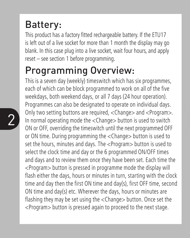### Battery:

This product has a factory fitted rechargeable battery. If the ETU17 is left out of a live socket for more than 1 month the display may go blank. In this case plug into a live socket, wait four hours, and apply reset – see section 1 before programming.

#### Programming Overview:

 $\sum$  3 and  $\sum$  3 and  $\sum$  3 and  $\sum$  3 and  $\sum$  3 and  $\sum$  3 and  $\sum$  3 and  $\sum$  3 and  $\sum$  3 and  $\sum$  3 and  $\sum$  3 and  $\sum$  3 and 3 and 3 and 3 and 3 and 3 and 3 and 3 and 3 and 3 and 3 and 3 and 3 and 3 and 3 and 3 and This is a seven day (weekly) timeswitch which has six programmes, each of which can be block programmed to work on all of the five weekdays, both weekend days, or all 7 days (24 hour operation). Programmes can also be designated to operate on individual days. Only two setting buttons are required, <Change> and <Program>. ON or OFF, overriding the timeswitch until the next programmed OFF or ON time. During programming the <Change> button is used to set the hours, minutes and days. The <Program> button is used to select the clock time and day or the 6 programmed ON/OFF times and days and to review them once they have been set. Each time the <Program> button is pressed in programme mode the display will flash either the days, hours or minutes in turn, starting with the clock time and day then the first ON time and day(s), first OFF time, second ON time and day(s) etc. Wherever the days, hours or minutes are flashing they may be set using the <Change> button. Once set the <Program> button is pressed again to proceed to the next stage.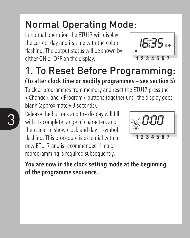## Normal Operating Mode:

In normal operation the ETU17 will display the correct day and its time with the colon flashing. The output status will be shown by either ON or OFF on the display.



### 1. To Reset Before Programming:

**(To alter clock time or modify programmes – see section 5)** To clear programmes from memory and reset the ETU17 press the <Change> and <Program> buttons together until the display goes blank (approximately 3 seconds).

 $3 \quad$  Nelease the buttons and the display will fill<br>with its complete range of characters and  $\frac{1}{2}$ Release the buttons and the display will fill then clear to show clock and day 1 symbol flashing. This procedure is essential with a new ETU17 and is recommended if major reprogramming is required subsequently.



**You are now in the clock setting mode at the beginning of the programme sequence.**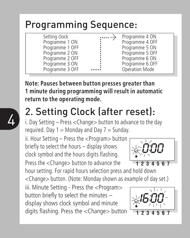#### Programming Sequence:

| Setting clock   | Programme 4 ON  |
|-----------------|-----------------|
| Programme 1 ON  | Programme 4 OFF |
| Programme 1 OFF | Programme 5 ON  |
| Programme 2 ON  | Programme 5 OFF |
| Programme 2 OFF | Programme 6 ON  |
| Programme 3 ON  | Programme 6 OFF |
| Programme 3 OFF | Operation Mode  |
|                 |                 |

**Note: Pauses between button presses greater than 1 minute during programming will result in automatic return to the operating mode.**

## 2. Setting Clock (after reset):

i. Day Setting – Press <Change> button to advance to the day required. Day  $1 =$  Monday and Day  $7 =$  Sunday.

ii. Hour Setting – Press the <Program> button briefly to select the hours – display shows clock symbol and the hours digits flashing. Press the <Change> button to advance the

hour setting. For rapid hours selection press and hold down <Change> button. (Note: Monday shown as example of day set.)

iii. Minute Setting - Press the <Program> button briefly to select the minutes – display shows clock symbol and minute digits flashing. Press the <Change> button

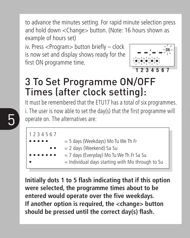to advance the minutes setting. For rapid minute selection press and hold down <Change> button. (Note: 16 hours shown as example of hours set)

iv. Press <Program> button briefly – clock is now set and display shows ready for the first ON programme time.



#### 3 To Set Programme ON/OFF Times (after clock setting):

5 **6 operate on.** The alternatives are: It must be remembered that the ETU17 has a total of six programmes. i. The user is now able to set the day(s) that the first programme will

```
1 2 3 4 5 6 7
                = 5 days (Weekdays) Mo Tu We Th Fr
                = 2 days (Weekend) Sa Su
                = 7 days (Everyday) Mo Tu We Th Fr Sa Su
                = Individual days starting with Mo through to Su
```
**Initially dots 1 to 5 flash indicating that if this option were selected, the programme times about to be entered would operate over the five weekdays. If another option is required, the <change> button should be pressed until the correct day(s) flash.**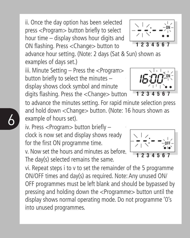ii. Once the day option has been selected press <Program> button briefly to select hour time – display shows hour digits and ON flashing. Press <Change> button to

advance hour setting. (Note: 2 days (Sat & Sun) shown as examples of days set.)

iii. Minute Setting - Press the <Program> button briefly to select the minutes – display shows clock symbol and minute digits flashing. Press the <Change> button

to advance the minutes setting. For rapid minute selection press and hold down <Change> button. (Note: 16 hours shown as example of hours set).

iv. Press <Program> button briefly – clock is now set and display shows ready for the first ON programme time.

6

v. Now set the hours and minutes as before. v. Now set the hours and minutes as before. The day(s) selected remains the same.

vi. Repeat steps i to v to set the remainder of the 5 programme ON/OFF times and day(s) as required. Note: Any unused ON/ OFF programmes must be left blank and should be bypassed by pressing and holding down the <Programme> button until the display shows normal operating mode. Do not programme '0's into unused programmes.







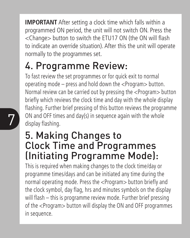**IMPORTANT** After setting a clock time which falls within a programmed ON period, the unit will not switch ON. Press the <Change> button to switch the ETU17 ON (the ON will flash to indicate an override situation). After this the unit will operate normally to the programmes set.

## 4. Programme Review:

**7** ON and OFF times and day(s) in sequence again with the whole display flashing. To fast review the set programmes or for quick exit to normal operating mode – press and hold down the <Program> button. Normal review can be carried out by pressing the <Program> button briefly which reviews the clock time and day with the whole display flashing. Further brief pressing of this button reviews the programme display flashing.

#### 5. Making Changes to Clock Time and Programmes (Initiating Programme Mode):

This is required when making changes to the clock time/day or programme times/days and can be initiated any time during the normal operating mode. Press the <Program> button briefly and the clock symbol, day flag, hrs and minutes symbols on the display will flash – this is programme review mode. Further brief pressing of the <Program> button will display the ON and OFF programmes in sequence.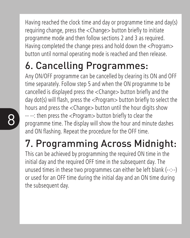Having reached the clock time and day or programme time and day(s) requiring change, press the <Change> button briefly to initiate programme mode and then follow sections 2 and 3 as required. Having completed the change press and hold down the <Program> button until normal operating mode is reached and then release.

## 6. Cancelling Programmes:

 $8$   $\cdot$   $\cdot$   $\cdot$  then press the <Program> button briefly to clear the programme time. The display will show the hour and minute dashes Any ON/OFF programme can be cancelled by clearing its ON and OFF time separately. Follow step 5 and when the ON programme to be cancelled is displayed press the <Change> button briefly and the day dot(s) will flash, press the <Program> button briefly to select the hours and press the <Change> button until the hour digits show -- --: then press the <Program> button briefly to clear the and ON flashing. Repeat the procedure for the OFF time.

## 7. Programming Across Midnight:

This can be achieved by programming the required ON time in the initial day and the required OFF time in the subsequent day. The unused times in these two programmes can either be left blank (--:--) or used for an OFF time during the initial day and an ON time during the subsequent day.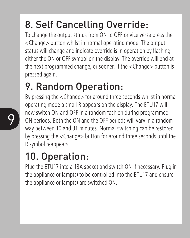## 8. Self Cancelling Override:

To change the output status from ON to OFF or vice versa press the <Change> button whilst in normal operating mode. The output status will change and indicate override is in operation by flashing either the ON or OFF symbol on the display. The override will end at the next programmed change, or sooner, if the <Change> button is pressed again.

### 9. Random Operation:

9 1000 SWILLED ON and OFF III a random rashion during programmed<br>
ON periods. Both the ON and the OFF periods will vary in a random<br>
was between 10 and 21 minutes. Narmal suitables can be settered By pressing the <Change> for around three seconds whilst in normal operating mode a small R appears on the display. The ETU17 will now switch ON and OFF in a random fashion during programmed way between 10 and 31 minutes. Normal switching can be restored by pressing the <Change> button for around three seconds until the R symbol reappears.

## 10. Operation:

Plug the ETU17 into a 13A socket and switch ON if necessary. Plug in the appliance or lamp(s) to be controlled into the ETU17 and ensure the appliance or lamp(s) are switched ON.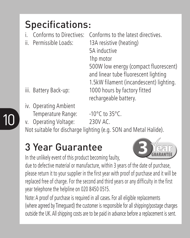## Specifications:

- i. Conforms to Directives: Conforms to the latest directives.
- 

ii. Permissible Loads: 13A resistive (heating) 5A inductive 1hp motor 500W low energy (compact fluorescent) and linear tube fluorescent lighting 1.5kW filament (incandescent) lighting. iii. Battery Back-up: 1000 hours by factory fitted rechargeable battery.

- 
- iv. Operating Ambient Temperature Range: -10°C to 35°C.

v. Operating Voltage: 230V AC.

Not suitable for discharge lighting (e.g. SON and Metal Halide).

#### 3 Year Guarantee

In the unlikely event of this product becoming faulty,

due to defective material or manufacture, within 3 years of the date of purchase, please return it to your supplier in the first year with proof of purchase and it will be replaced free of charge. For the second and third years or any difficulty in the first year telephone the helpline on 020 8450 0515.

Note: A proof of purchase is required in all cases. For all eligible replacements (where agreed by Timeguard) the customer is responsible for all shipping/postage charges outside the UK. All shipping costs are to be paid in advance before a replacement is sent.